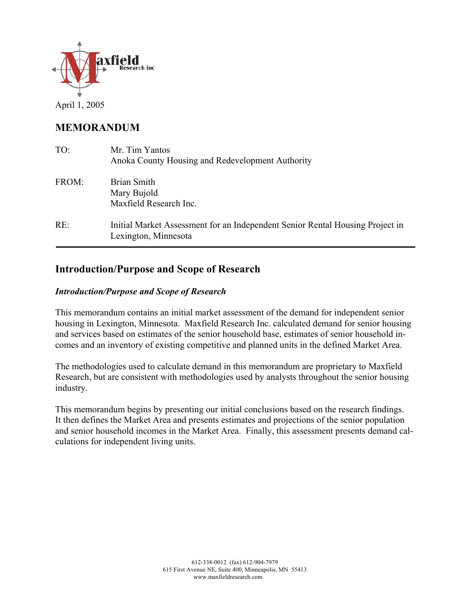

## **MEMORANDUM**

| TO:   | Mr. Tim Yantos<br>Anoka County Housing and Redevelopment Authority                                    |
|-------|-------------------------------------------------------------------------------------------------------|
| FROM: | Brian Smith<br>Mary Bujold<br>Maxfield Research Inc.                                                  |
| RE:   | Initial Market Assessment for an Independent Senior Rental Housing Project in<br>Lexington, Minnesota |

## **Introduction/Purpose and Scope of Research**

### *Introduction/Purpose and Scope of Research*

This memorandum contains an initial market assessment of the demand for independent senior housing in Lexington, Minnesota. Maxfield Research Inc. calculated demand for senior housing and services based on estimates of the senior household base, estimates of senior household incomes and an inventory of existing competitive and planned units in the defined Market Area.

The methodologies used to calculate demand in this memorandum are proprietary to Maxfield Research, but are consistent with methodologies used by analysts throughout the senior housing industry.

This memorandum begins by presenting our initial conclusions based on the research findings. It then defines the Market Area and presents estimates and projections of the senior population and senior household incomes in the Market Area. Finally, this assessment presents demand calculations for independent living units.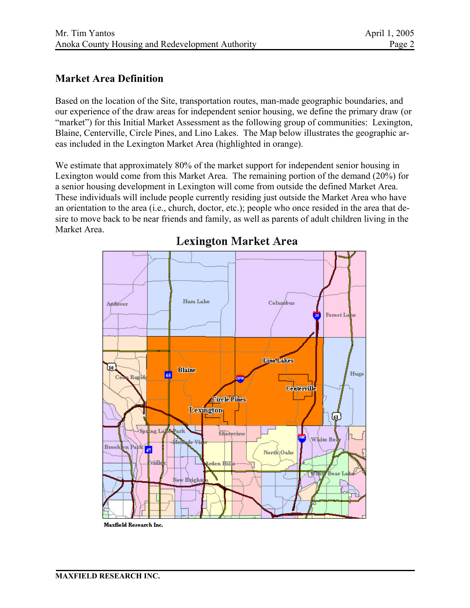## **Market Area Definition**

Based on the location of the Site, transportation routes, man-made geographic boundaries, and our experience of the draw areas for independent senior housing, we define the primary draw (or "market") for this Initial Market Assessment as the following group of communities: Lexington, Blaine, Centerville, Circle Pines, and Lino Lakes. The Map below illustrates the geographic areas included in the Lexington Market Area (highlighted in orange).

We estimate that approximately 80% of the market support for independent senior housing in Lexington would come from this Market Area. The remaining portion of the demand (20%) for a senior housing development in Lexington will come from outside the defined Market Area. These individuals will include people currently residing just outside the Market Area who have an orientation to the area (i.e., church, doctor, etc.); people who once resided in the area that desire to move back to be near friends and family, as well as parents of adult children living in the Market Area.



## **Lexington Market Area**

Maxfield Research Inc.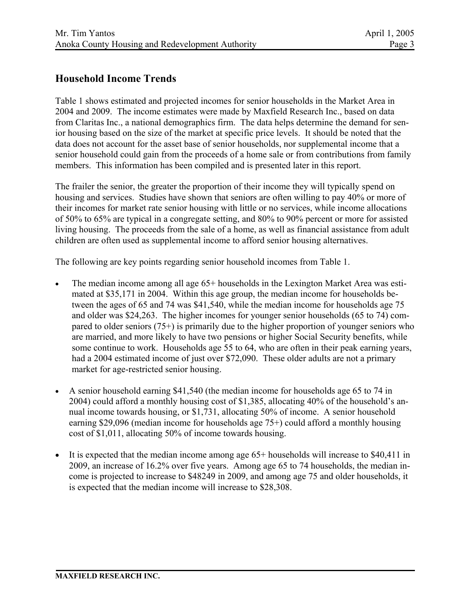## **Household Income Trends**

Table 1 shows estimated and projected incomes for senior households in the Market Area in 2004 and 2009. The income estimates were made by Maxfield Research Inc., based on data from Claritas Inc., a national demographics firm. The data helps determine the demand for senior housing based on the size of the market at specific price levels. It should be noted that the data does not account for the asset base of senior households, nor supplemental income that a senior household could gain from the proceeds of a home sale or from contributions from family members. This information has been compiled and is presented later in this report.

The frailer the senior, the greater the proportion of their income they will typically spend on housing and services. Studies have shown that seniors are often willing to pay 40% or more of their incomes for market rate senior housing with little or no services, while income allocations of 50% to 65% are typical in a congregate setting, and 80% to 90% percent or more for assisted living housing. The proceeds from the sale of a home, as well as financial assistance from adult children are often used as supplemental income to afford senior housing alternatives.

The following are key points regarding senior household incomes from Table 1.

- The median income among all age 65+ households in the Lexington Market Area was estimated at \$35,171 in 2004. Within this age group, the median income for households between the ages of 65 and 74 was \$41,540, while the median income for households age 75 and older was \$24,263. The higher incomes for younger senior households (65 to 74) compared to older seniors (75+) is primarily due to the higher proportion of younger seniors who are married, and more likely to have two pensions or higher Social Security benefits, while some continue to work. Households age 55 to 64, who are often in their peak earning years, had a 2004 estimated income of just over \$72,090. These older adults are not a primary market for age-restricted senior housing.
- A senior household earning \$41,540 (the median income for households age 65 to 74 in 2004) could afford a monthly housing cost of \$1,385, allocating 40% of the household's annual income towards housing, or \$1,731, allocating 50% of income. A senior household earning \$29,096 (median income for households age 75+) could afford a monthly housing cost of \$1,011, allocating 50% of income towards housing.
- It is expected that the median income among age 65+ households will increase to \$40,411 in 2009, an increase of 16.2% over five years. Among age 65 to 74 households, the median income is projected to increase to \$48249 in 2009, and among age 75 and older households, it is expected that the median income will increase to \$28,308.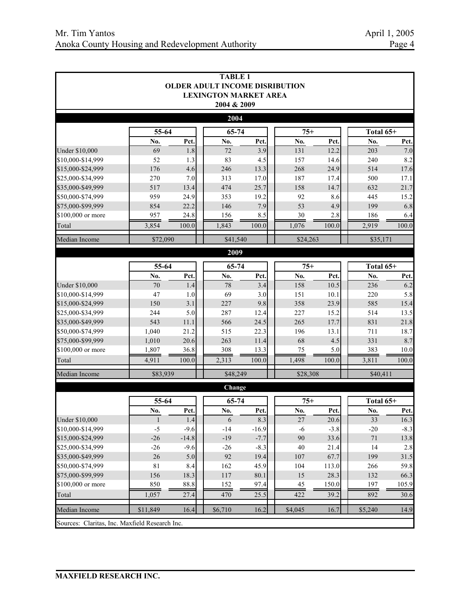|                                                |                |         | <b>TABLE 1</b><br><b>OLDER ADULT INCOME DISRIBUTION</b> |         |          |        |           |        |
|------------------------------------------------|----------------|---------|---------------------------------------------------------|---------|----------|--------|-----------|--------|
|                                                |                |         | <b>LEXINGTON MARKET AREA</b><br>2004 & 2009             |         |          |        |           |        |
|                                                |                |         | 2004                                                    |         |          |        |           |        |
|                                                | 55-64          |         | 65-74                                                   |         | $75+$    |        | Total 65+ |        |
|                                                | No.            | Pct.    | No.                                                     | Pct.    | No.      | Pct.   | No.       | Pct.   |
| <b>Under \$10,000</b>                          | 69             | 1.8     | 72                                                      | 3.9     | 131      | 12.2   | 203       | 7.0    |
| \$10,000-\$14,999                              | 52             | 1.3     | 83                                                      | 4.5     | 157      | 14.6   | 240       | 8.2    |
| \$15,000-\$24,999                              | 176            | 4.6     | 246                                                     | 13.3    | 268      | 24.9   | 514       | 17.6   |
| \$25,000-\$34,999                              | 270            | 7.0     | 313                                                     | 17.0    | 187      | 17.4   | 500       | 17.1   |
| \$35,000-\$49,999                              | 517            | 13.4    | 474                                                     | 25.7    | 158      | 14.7   | 632       | 21.7   |
| \$50,000-\$74,999                              | 959            | 24.9    | 353                                                     | 19.2    | 92       | 8.6    | 445       | 15.2   |
| \$75,000-\$99,999                              | 854            | 22.2    | 146                                                     | 7.9     | 53       | 4.9    | 199       | 6.8    |
| \$100,000 or more                              | 957            | 24.8    | 156                                                     | 8.5     | 30       | 2.8    | 186       | 6.4    |
| Total                                          | 3,854          | 100.0   | 1,843                                                   | 100.0   | 1,076    | 100.0  | 2,919     | 100.0  |
| Median Income                                  | \$72,090       |         | \$41,540                                                |         | \$24,263 |        | \$35,171  |        |
|                                                |                |         | 2009                                                    |         |          |        |           |        |
|                                                | 55-64<br>65-74 |         |                                                         |         | $75+$    |        | Total 65+ |        |
|                                                | No.            | Pct.    | No.                                                     | Pct.    | No.      | Pct.   | No.       | Pct.   |
| <b>Under \$10,000</b>                          | 70             | 1.4     | 78                                                      | 3.4     | 158      | 10.5   | 236       | 6.2    |
| \$10,000-\$14,999                              | 47             | 1.0     | 69                                                      | 3.0     | 151      | 10.1   | 220       | 5.8    |
| \$15,000-\$24,999                              | 150            | 3.1     | 227                                                     | 9.8     | 358      | 23.9   | 585       | 15.4   |
| \$25,000-\$34,999                              | 244            | 5.0     | 287                                                     | 12.4    | 227      | 15.2   | 514       | 13.5   |
| \$35,000-\$49,999                              | 543            | 11.1    | 566                                                     | 24.5    | 265      | 17.7   | 831       | 21.8   |
| \$50,000-\$74,999                              | 1,040          | 21.2    | 515                                                     | 22.3    | 196      | 13.1   | 711       | 18.7   |
| \$75,000-\$99,999                              | 1,010          | 20.6    | 263                                                     | 11.4    | 68       | 4.5    | 331       | 8.7    |
| \$100,000 or more                              | 1,807          | 36.8    | 308                                                     | 13.3    | 75       | 5.0    | 383       | 10.0   |
| Total                                          | 4,911          | 100.0   | 2,313                                                   | 100.0   | 1,498    | 100.0  | 3,811     | 100.0  |
| Median Income                                  | \$83,939       |         | \$48,249                                                |         | \$28,308 |        | \$40,411  |        |
|                                                |                |         | Change                                                  |         |          |        |           |        |
|                                                | 55-64          |         | 65-74                                                   |         | $75+$    |        | Total 65+ |        |
|                                                | No.            | Pct.    | No.                                                     | Pct.    | No.      | Pct.   | No.       | Pct.   |
| <b>Under \$10,000</b>                          | $\mathbf{I}$   | 1.4     | 6                                                       | 8.3     | 27       | 20.6   | 33        | 16.3   |
| \$10,000-\$14,999                              | $-5$           | $-9.6$  | $-14$                                                   | $-16.9$ | -6       | $-3.8$ | $-20$     | $-8.3$ |
| \$15,000-\$24,999                              | $-26$          | $-14.8$ | $-19$                                                   | $-7.7$  | 90       | 33.6   | $71\,$    | 13.8   |
| \$25,000-\$34,999                              | $-26$          | $-9.6$  | $-26$                                                   | $-8.3$  | 40       | 21.4   | 14        | 2.8    |
| \$35,000-\$49,999                              | 26             | 5.0     | 92                                                      | 19.4    | 107      | 67.7   | 199       | 31.5   |
| \$50,000-\$74,999                              | 81             | 8.4     | 162                                                     | 45.9    | 104      | 113.0  | 266       | 59.8   |
| \$75,000-\$99,999                              | 156            | 18.3    | 117                                                     | 80.1    | 15       | 28.3   | 132       | 66.3   |
| \$100,000 or more                              | 850            | 88.8    | 152                                                     | 97.4    | 45       | 150.0  | 197       | 105.9  |
| Total                                          | 1,057          | 27.4    | 470                                                     | 25.5    | 422      | 39.2   | 892       | 30.6   |
| Median Income                                  | \$11,849       | 16.4    | \$6,710                                                 | 16.2    | \$4,045  | 16.7   | \$5,240   | 14.9   |
| Sources: Claritas, Inc. Maxfield Research Inc. |                |         |                                                         |         |          |        |           |        |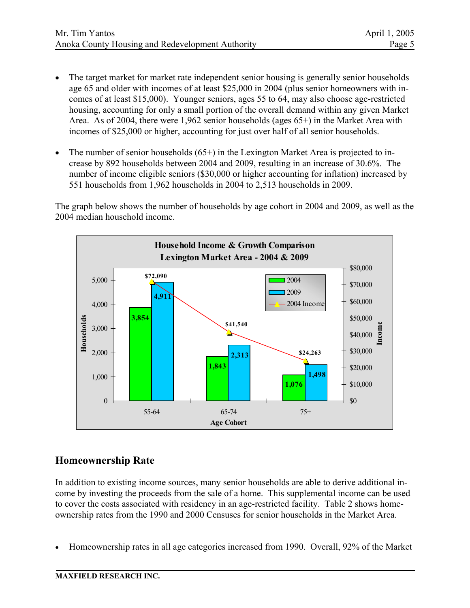- The target market for market rate independent senior housing is generally senior households age 65 and older with incomes of at least \$25,000 in 2004 (plus senior homeowners with incomes of at least \$15,000). Younger seniors, ages 55 to 64, may also choose age-restricted housing, accounting for only a small portion of the overall demand within any given Market Area. As of 2004, there were 1,962 senior households (ages 65+) in the Market Area with incomes of \$25,000 or higher, accounting for just over half of all senior households.
- The number of senior households  $(65+)$  in the Lexington Market Area is projected to increase by 892 households between 2004 and 2009, resulting in an increase of 30.6%. The number of income eligible seniors (\$30,000 or higher accounting for inflation) increased by 551 households from 1,962 households in 2004 to 2,513 households in 2009.

The graph below shows the number of households by age cohort in 2004 and 2009, as well as the 2004 median household income.



# **Homeownership Rate**

In addition to existing income sources, many senior households are able to derive additional income by investing the proceeds from the sale of a home. This supplemental income can be used to cover the costs associated with residency in an age-restricted facility. Table 2 shows homeownership rates from the 1990 and 2000 Censuses for senior households in the Market Area.

• Homeownership rates in all age categories increased from 1990. Overall, 92% of the Market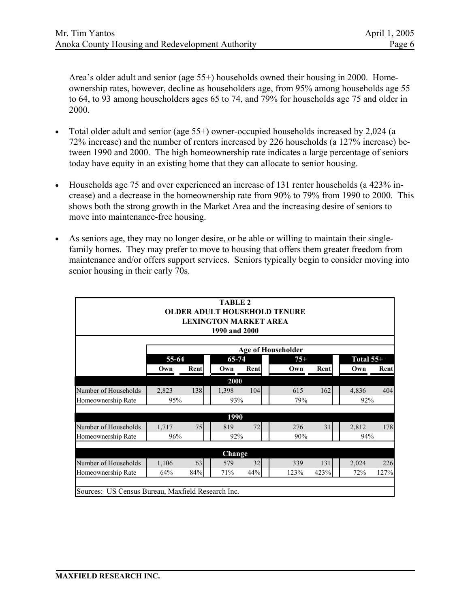Area's older adult and senior (age 55+) households owned their housing in 2000. Homeownership rates, however, decline as householders age, from 95% among households age 55 to 64, to 93 among householders ages 65 to 74, and 79% for households age 75 and older in 2000.

- Total older adult and senior (age 55+) owner-occupied households increased by 2,024 (a 72% increase) and the number of renters increased by 226 households (a 127% increase) between 1990 and 2000. The high homeownership rate indicates a large percentage of seniors today have equity in an existing home that they can allocate to senior housing.
- Households age 75 and over experienced an increase of 131 renter households (a 423% increase) and a decrease in the homeownership rate from 90% to 79% from 1990 to 2000. This shows both the strong growth in the Market Area and the increasing desire of seniors to move into maintenance-free housing.
- As seniors age, they may no longer desire, or be able or willing to maintain their singlefamily homes. They may prefer to move to housing that offers them greater freedom from maintenance and/or offers support services. Seniors typically begin to consider moving into senior housing in their early 70s.

|                                                   |       |      | <b>TABLE 2</b><br><b>LEXINGTON MARKET AREA</b><br>1990 and 2000 |      | <b>OLDER ADULT HOUSEHOLD TENURE</b> |      |             |      |
|---------------------------------------------------|-------|------|-----------------------------------------------------------------|------|-------------------------------------|------|-------------|------|
|                                                   |       |      |                                                                 |      | <b>Age of Householder</b>           |      |             |      |
|                                                   | 55-64 |      | 65-74                                                           |      | $75+$                               |      | Total $55+$ |      |
|                                                   | Own   | Rent | Own                                                             | Rent | Own                                 | Rent | Own         | Rent |
|                                                   |       |      | 2000                                                            |      |                                     |      |             |      |
| Number of Households                              | 2,823 | 138  | 1,398                                                           | 104  | 615                                 | 162  | 4,836       | 404  |
| Homeownership Rate                                | 95%   |      | 93%                                                             |      | 79%                                 |      | 92%         |      |
|                                                   |       |      |                                                                 |      |                                     |      |             |      |
|                                                   |       |      | 1990                                                            |      |                                     |      |             |      |
| Number of Households                              | 1,717 | 75   | 819                                                             | 72   | 276                                 | 31   | 2,812       | 178  |
| Homeownership Rate                                | 96%   |      | 92%                                                             |      | 90%                                 |      | 94%         |      |
|                                                   |       |      | Change                                                          |      |                                     |      |             |      |
| Number of Households                              | 1,106 | 63   | 579                                                             | 32   | 339                                 | 131  | 2,024       | 226  |
| Homeownership Rate                                | 64%   | 84%  | 71%                                                             | 44%  | 123%                                | 423% | 72%         | 127% |
|                                                   |       |      |                                                                 |      |                                     |      |             |      |
| Sources: US Census Bureau, Maxfield Research Inc. |       |      |                                                                 |      |                                     |      |             |      |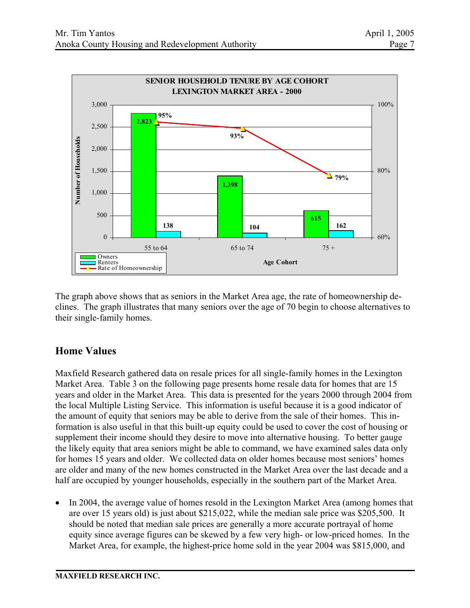

The graph above shows that as seniors in the Market Area age, the rate of homeownership declines. The graph illustrates that many seniors over the age of 70 begin to choose alternatives to their single-family homes.

# **Home Values**

Maxfield Research gathered data on resale prices for all single-family homes in the Lexington Market Area. Table 3 on the following page presents home resale data for homes that are 15 years and older in the Market Area. This data is presented for the years 2000 through 2004 from the local Multiple Listing Service. This information is useful because it is a good indicator of the amount of equity that seniors may be able to derive from the sale of their homes. This information is also useful in that this built-up equity could be used to cover the cost of housing or supplement their income should they desire to move into alternative housing. To better gauge the likely equity that area seniors might be able to command, we have examined sales data only for homes 15 years and older. We collected data on older homes because most seniors' homes are older and many of the new homes constructed in the Market Area over the last decade and a half are occupied by younger households, especially in the southern part of the Market Area.

• In 2004, the average value of homes resold in the Lexington Market Area (among homes that are over 15 years old) is just about \$215,022, while the median sale price was \$205,500. It should be noted that median sale prices are generally a more accurate portrayal of home equity since average figures can be skewed by a few very high- or low-priced homes. In the Market Area, for example, the highest-price home sold in the year 2004 was \$815,000, and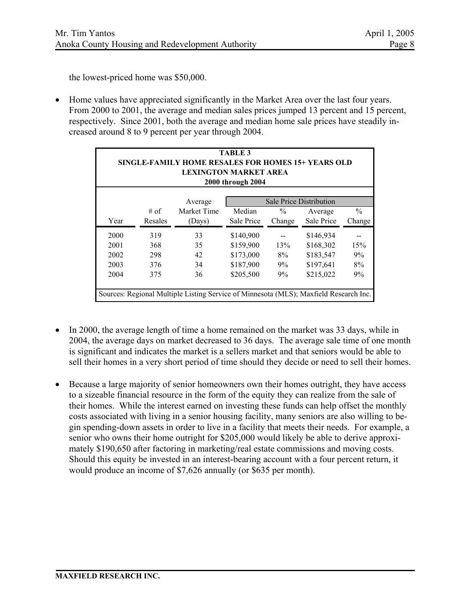the lowest-priced home was \$50,000.

• Home values have appreciated significantly in the Market Area over the last four years. From 2000 to 2001, the average and median sales prices jumped 13 percent and 15 percent, respectively. Since 2001, both the average and median home sale prices have steadily increased around 8 to 9 percent per year through 2004.

| <b>TABLE 3</b><br>SINGLE-FAMILY HOME RESALES FOR HOMES 15+ YEARS OLD<br>LEXINGTON MARKET AREA<br>2000 through 2004 |         |             |            |               |                                |               |  |
|--------------------------------------------------------------------------------------------------------------------|---------|-------------|------------|---------------|--------------------------------|---------------|--|
|                                                                                                                    |         | Average     |            |               | <b>Sale Price Distribution</b> |               |  |
|                                                                                                                    | $#$ of  | Market Time | Median     | $\frac{0}{0}$ | Average                        | $\frac{0}{0}$ |  |
| Year                                                                                                               | Resales | (Days)      | Sale Price | Change        | Sale Price                     | Change        |  |
| 2000                                                                                                               | 319     | 33          | \$140,900  |               | \$146,934                      |               |  |
| 2001                                                                                                               | 368     | 35          | \$159,900  | 13%           | \$168,302                      | 15%           |  |
| 2002                                                                                                               | 298     | 42          | \$173,000  | 8%            | \$183,547                      | 9%            |  |
| 2003                                                                                                               | 376     | 34          | \$187,900  | 9%            | \$197,641                      | 8%            |  |
| 2004                                                                                                               | 375     | 36          | \$205,500  | 9%            | \$215,022                      | 9%            |  |
| Sources: Regional Multiple Listing Service of Minnesota (MLS); Maxfield Research Inc.                              |         |             |            |               |                                |               |  |

- In 2000, the average length of time a home remained on the market was 33 days, while in 2004, the average days on market decreased to 36 days. The average sale time of one month is significant and indicates the market is a sellers market and that seniors would be able to sell their homes in a very short period of time should they decide or need to sell their homes.
- Because a large majority of senior homeowners own their homes outright, they have access to a sizeable financial resource in the form of the equity they can realize from the sale of their homes. While the interest earned on investing these funds can help offset the monthly costs associated with living in a senior housing facility, many seniors are also willing to begin spending-down assets in order to live in a facility that meets their needs. For example, a senior who owns their home outright for \$205,000 would likely be able to derive approximately \$190,650 after factoring in marketing/real estate commissions and moving costs. Should this equity be invested in an interest-bearing account with a four percent return, it would produce an income of \$7,626 annually (or \$635 per month).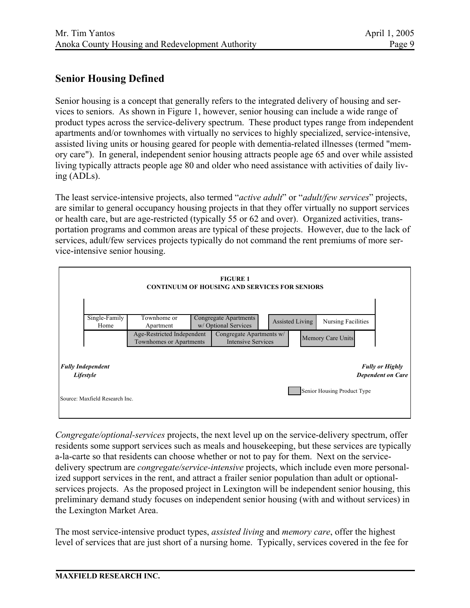## **Senior Housing Defined**

Senior housing is a concept that generally refers to the integrated delivery of housing and services to seniors. As shown in Figure 1, however, senior housing can include a wide range of product types across the service-delivery spectrum. These product types range from independent apartments and/or townhomes with virtually no services to highly specialized, service-intensive, assisted living units or housing geared for people with dementia-related illnesses (termed "memory care"). In general, independent senior housing attracts people age 65 and over while assisted living typically attracts people age 80 and older who need assistance with activities of daily living (ADLs).

The least service-intensive projects, also termed "*active adult*" or "*adult/few services*" projects, are similar to general occupancy housing projects in that they offer virtually no support services or health care, but are age-restricted (typically 55 or 62 and over). Organized activities, transportation programs and common areas are typical of these projects. However, due to the lack of services, adult/few services projects typically do not command the rent premiums of more service-intensive senior housing.



*Congregate/optional-services* projects, the next level up on the service-delivery spectrum, offer residents some support services such as meals and housekeeping, but these services are typically a-la-carte so that residents can choose whether or not to pay for them. Next on the servicedelivery spectrum are *congregate/service-intensive* projects, which include even more personalized support services in the rent, and attract a frailer senior population than adult or optionalservices projects. As the proposed project in Lexington will be independent senior housing, this preliminary demand study focuses on independent senior housing (with and without services) in the Lexington Market Area.

The most service-intensive product types, *assisted living* and *memory care*, offer the highest level of services that are just short of a nursing home. Typically, services covered in the fee for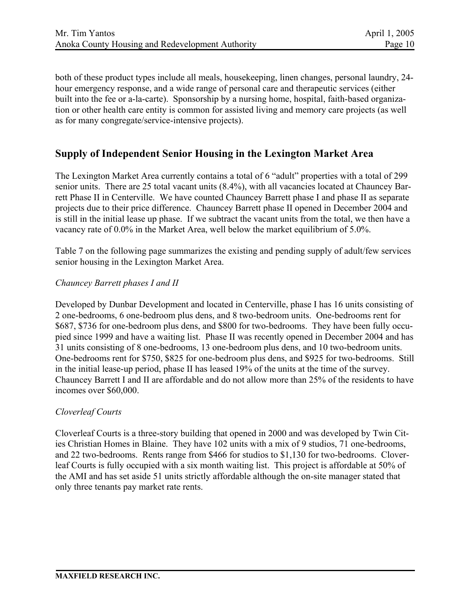both of these product types include all meals, housekeeping, linen changes, personal laundry, 24 hour emergency response, and a wide range of personal care and therapeutic services (either built into the fee or a-la-carte). Sponsorship by a nursing home, hospital, faith-based organization or other health care entity is common for assisted living and memory care projects (as well as for many congregate/service-intensive projects).

## **Supply of Independent Senior Housing in the Lexington Market Area**

The Lexington Market Area currently contains a total of 6 "adult" properties with a total of 299 senior units. There are 25 total vacant units (8.4%), with all vacancies located at Chauncey Barrett Phase II in Centerville. We have counted Chauncey Barrett phase I and phase II as separate projects due to their price difference. Chauncey Barrett phase II opened in December 2004 and is still in the initial lease up phase. If we subtract the vacant units from the total, we then have a vacancy rate of 0.0% in the Market Area, well below the market equilibrium of 5.0%.

Table 7 on the following page summarizes the existing and pending supply of adult/few services senior housing in the Lexington Market Area.

#### *Chauncey Barrett phases I and II*

Developed by Dunbar Development and located in Centerville, phase I has 16 units consisting of 2 one-bedrooms, 6 one-bedroom plus dens, and 8 two-bedroom units. One-bedrooms rent for \$687, \$736 for one-bedroom plus dens, and \$800 for two-bedrooms. They have been fully occupied since 1999 and have a waiting list. Phase II was recently opened in December 2004 and has 31 units consisting of 8 one-bedrooms, 13 one-bedroom plus dens, and 10 two-bedroom units. One-bedrooms rent for \$750, \$825 for one-bedroom plus dens, and \$925 for two-bedrooms. Still in the initial lease-up period, phase II has leased 19% of the units at the time of the survey. Chauncey Barrett I and II are affordable and do not allow more than 25% of the residents to have incomes over \$60,000.

#### *Cloverleaf Courts*

Cloverleaf Courts is a three-story building that opened in 2000 and was developed by Twin Cities Christian Homes in Blaine. They have 102 units with a mix of 9 studios, 71 one-bedrooms, and 22 two-bedrooms. Rents range from \$466 for studios to \$1,130 for two-bedrooms. Cloverleaf Courts is fully occupied with a six month waiting list. This project is affordable at 50% of the AMI and has set aside 51 units strictly affordable although the on-site manager stated that only three tenants pay market rate rents.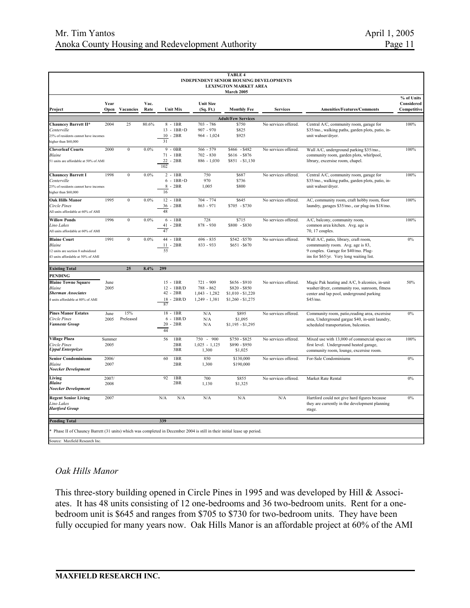|                                                                                                                        |                |                  |              |                                                              |                                                                | <b>TABLE 4</b><br>INDEPENDENT SENIOR HOUSING DEVELOPMENTS<br><b>LEXINGTON MARKET AREA</b><br>March 2005 |                      |                                                                                                                                                              |                                         |
|------------------------------------------------------------------------------------------------------------------------|----------------|------------------|--------------|--------------------------------------------------------------|----------------------------------------------------------------|---------------------------------------------------------------------------------------------------------|----------------------|--------------------------------------------------------------------------------------------------------------------------------------------------------------|-----------------------------------------|
| Project                                                                                                                | Year<br>Open   | Vacancies        | Vac.<br>Rate | <b>Unit Mix</b>                                              | <b>Unit Size</b><br>(Sq. Ft.)                                  | <b>Monthly Fee</b>                                                                                      | Services             | <b>Amenities/Features/Comments</b>                                                                                                                           | % of Units<br>Considered<br>Competitive |
|                                                                                                                        |                |                  |              |                                                              |                                                                | <b>Adult/Few Services</b>                                                                               |                      |                                                                                                                                                              |                                         |
| Chauncey Barrett II*<br><b>Centerville</b><br>25% of residents cannot have incomes<br>higher than \$60,000             | 2004           | 25               | 80.6%        | $8 - 1BR$<br>$13 - 1BR + D$<br>$10 - 2BR$<br>31              | 703 - 786<br>$907 - 970$<br>$964 - 1,024$                      | \$750<br>\$825<br>\$925                                                                                 | No services offered. | Central A/C, community room, garage for<br>\$35/mo., walking paths, garden plots, patio, in-<br>unit wahser/dryer.                                           | 100%                                    |
| <b>Cloverleaf Courts</b><br>Blaine<br>51 units are affordable at 50% of AMI                                            | 2000           | $\boldsymbol{0}$ | 0.0%         | $9 - 0BR$<br>71 - 1BR<br>22 - 2BR<br>102                     | 566 - 579<br>$702 - 830$<br>$886 - 1,030$                      | $$466 - $482$<br>$$616 - $876$<br>$$851 - $1,130$                                                       | No services offered. | Wall A/C, underground parking \$35/mo.,<br>community room, garden plots, whirlpool,<br>library, excersise room, chapel.                                      | 100%                                    |
| <b>Chauncey Barrett I</b><br>Centerville<br>25% of residents cannot have incomes<br>higher than \$60,000               | 1998           | $\boldsymbol{0}$ | 0.0%         | $2 - 1BR$<br>$6 - 1BR + D$<br>$8 - 2BR$<br>16                | 750<br>970<br>1,005                                            | \$687<br>\$736<br>\$800                                                                                 | No services offered. | Central A/C, community room, garage for<br>\$35/mo., walking paths, garden plots, patio, in-<br>unit wahser/dryer.                                           | 100%                                    |
| <b>Oak Hills Manor</b><br>Circle Pines<br>All units affordable at 60% of AMI                                           | 1995           | $\boldsymbol{0}$ | 0.0%         | $12 - 1BR$<br>36 - 2BR<br>48                                 | 704 - 774<br>$863 - 971$                                       | \$645<br>$$705 - $730$                                                                                  | No services offered. | AC, community room, craft hobby room, floor<br>laundry, garages \$35/mo., car plug-ins \$18/mo.                                                              | 100%                                    |
| <b>Willow Ponds</b><br>Lino Lakes<br>All units affordable at 60% of AMI                                                | 1996           | $\boldsymbol{0}$ | 0.0%         | $6 - 1BR$<br>41 - 2BR<br>47                                  | 728<br>878 - 930                                               | \$715<br>\$800 - \$830                                                                                  | No services offered. | A/C, balcony, community room,<br>common area kitchen. Avg. age is<br>70, 17 couples.                                                                         | 100%                                    |
| <b>Blaine Court</b><br>Blaine<br>12 units are section 8 subsidized<br>43 units affordable at 50% of AMI                | 1991           | $\boldsymbol{0}$ | 0.0%         | 44 - 1BR<br>$11 - 2BR$<br>55                                 | $696 - 835$<br>833 - 933                                       | \$542 - \$570<br>$$651 - $670$                                                                          | No services offered. | Wall A/C, patio, library, craft room,<br>community room. Avg. age is 83,<br>9 couples. Garage for \$40/mo. Plug-<br>ins for \$65/yr. Very long waiting list. | 0%                                      |
| <b>Existing Total</b>                                                                                                  |                | 25               | 8.4%         | 299                                                          |                                                                |                                                                                                         |                      |                                                                                                                                                              |                                         |
| <b>PENDING</b><br><b>Blaine Towne Square</b><br>Blaine<br><b>Sherman Associates</b><br>units affordable at 80% of AMI  | June<br>2005   |                  |              | $15 - 1BR$<br>$12 - 1BR/D$<br>42 - 2BR<br>$18 - 2BR/D$<br>87 | $721 - 909$<br>788 - 862<br>$1,043 - 1,282$<br>$1,249 - 1,381$ | $$656 - $910$<br>\$820 - \$850<br>$$1,010 - $1,220$<br>$$1,260 - $1,275$                                | No services offered. | Magic Pak heating and A/C, b alconies, in-unit<br>washer/dryer, community roo, sunroom, fitness<br>center and lap pool, underground parking<br>$$45/mo$ .    | 50%                                     |
| <b>Pines Manor Estates</b><br>Circle Pines<br>Vanneste Group                                                           | June<br>2005   | 15%<br>Preleased |              | 18 - 1BR<br>$6 - 1BR/D$<br>$20 - 2BR$<br>44                  | N/A<br>N/A<br>N/A                                              | \$895<br>\$1,095<br>$$1,195 - $1,295$                                                                   | No services offered. | Community room, patio, reading area, excersise<br>area, Underground gargae \$40, in-unit laundry,<br>scheduled transportation, balconies.                    | 0%                                      |
| <b>Village Plaza</b><br>Circle Pines<br><b>Uppal Enterprizes</b>                                                       | Summer<br>2005 |                  |              | 56<br>1BR<br>2BR<br>3BR                                      | 750 - 900<br>$1,025 - 1,125$<br>1,300                          | $$750 - $825$<br>\$890 - \$950<br>\$1,025                                                               | No services offered. | Mixed use with 13,000 of commercial space on<br>first level. Underground heated garage,<br>community room, lounge, excersise room.                           | 100%                                    |
| <b>Senior Condominiums</b><br>Blaine<br>Noecker Development                                                            | 2006/<br>2007  |                  |              | 60<br>1BR<br>2BR                                             | 850<br>1,300                                                   | \$130,000<br>\$190,000                                                                                  | No services offered. | For-Sale Condominiums                                                                                                                                        | 0%                                      |
| Living<br><b>Blaine</b><br>Noecker Development                                                                         | 2007/<br>2008  |                  |              | 92<br>1BR<br>2BR                                             | 700<br>1,130                                                   | \$855<br>\$1,325                                                                                        | No services offered. | Market Rate Rental                                                                                                                                           | $0\%$                                   |
| <b>Regent Senior Living</b><br>Lino Lakes<br><b>Hartford Group</b>                                                     | 2007           |                  |              | N/A<br>N/A                                                   | N/A                                                            | N/A                                                                                                     | N/A                  | Hartford could not give hard figures because<br>they are currently in the development planning<br>stage.                                                     | $0\%$                                   |
| <b>Pending Total</b>                                                                                                   |                |                  |              | 339                                                          |                                                                |                                                                                                         |                      |                                                                                                                                                              |                                         |
| Phase II of Chauncy Barrett (31 units) which was completed in December 2004 is still in their initial lease up period. |                |                  |              |                                                              |                                                                |                                                                                                         |                      |                                                                                                                                                              |                                         |
| Source: Maxfield Research Inc.                                                                                         |                |                  |              |                                                              |                                                                |                                                                                                         |                      |                                                                                                                                                              |                                         |

#### *Oak Hills Manor*

This three-story building opened in Circle Pines in 1995 and was developed by Hill & Associates. It has 48 units consisting of 12 one-bedrooms and 36 two-bedroom units. Rent for a onebedroom unit is \$645 and ranges from \$705 to \$730 for two-bedroom units. They have been fully occupied for many years now. Oak Hills Manor is an affordable project at 60% of the AMI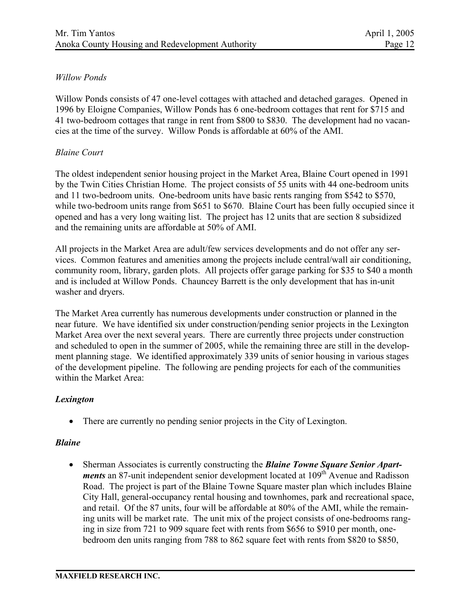### *Willow Ponds*

Willow Ponds consists of 47 one-level cottages with attached and detached garages. Opened in 1996 by Eloigne Companies, Willow Ponds has 6 one-bedroom cottages that rent for \$715 and 41 two-bedroom cottages that range in rent from \$800 to \$830. The development had no vacancies at the time of the survey. Willow Ponds is affordable at 60% of the AMI.

### *Blaine Court*

The oldest independent senior housing project in the Market Area, Blaine Court opened in 1991 by the Twin Cities Christian Home. The project consists of 55 units with 44 one-bedroom units and 11 two-bedroom units. One-bedroom units have basic rents ranging from \$542 to \$570, while two-bedroom units range from \$651 to \$670. Blaine Court has been fully occupied since it opened and has a very long waiting list. The project has 12 units that are section 8 subsidized and the remaining units are affordable at 50% of AMI.

All projects in the Market Area are adult/few services developments and do not offer any services. Common features and amenities among the projects include central/wall air conditioning, community room, library, garden plots. All projects offer garage parking for \$35 to \$40 a month and is included at Willow Ponds. Chauncey Barrett is the only development that has in-unit washer and dryers.

The Market Area currently has numerous developments under construction or planned in the near future. We have identified six under construction/pending senior projects in the Lexington Market Area over the next several years. There are currently three projects under construction and scheduled to open in the summer of 2005, while the remaining three are still in the development planning stage. We identified approximately 339 units of senior housing in various stages of the development pipeline. The following are pending projects for each of the communities within the Market Area:

### *Lexington*

• There are currently no pending senior projects in the City of Lexington.

### *Blaine*

• Sherman Associates is currently constructing the *Blaine Towne Square Senior Apartments* an 87-unit independent senior development located at 109<sup>th</sup> Avenue and Radisson Road. The project is part of the Blaine Towne Square master plan which includes Blaine City Hall, general-occupancy rental housing and townhomes, park and recreational space, and retail. Of the 87 units, four will be affordable at 80% of the AMI, while the remaining units will be market rate. The unit mix of the project consists of one-bedrooms ranging in size from 721 to 909 square feet with rents from \$656 to \$910 per month, onebedroom den units ranging from 788 to 862 square feet with rents from \$820 to \$850,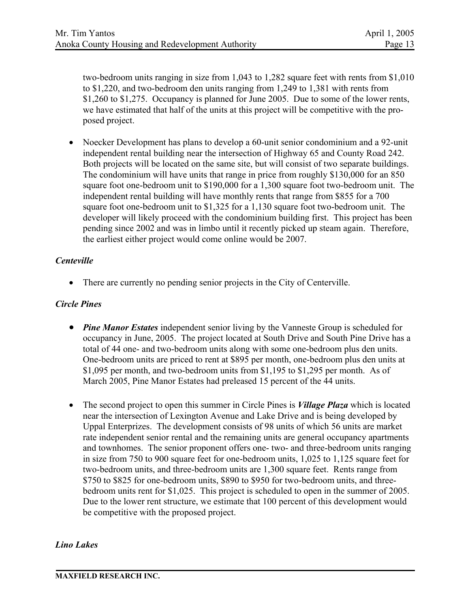two-bedroom units ranging in size from 1,043 to 1,282 square feet with rents from \$1,010 to \$1,220, and two-bedroom den units ranging from 1,249 to 1,381 with rents from \$1,260 to \$1,275. Occupancy is planned for June 2005. Due to some of the lower rents, we have estimated that half of the units at this project will be competitive with the proposed project.

• Noecker Development has plans to develop a 60-unit senior condominium and a 92-unit independent rental building near the intersection of Highway 65 and County Road 242. Both projects will be located on the same site, but will consist of two separate buildings. The condominium will have units that range in price from roughly \$130,000 for an 850 square foot one-bedroom unit to \$190,000 for a 1,300 square foot two-bedroom unit. The independent rental building will have monthly rents that range from \$855 for a 700 square foot one-bedroom unit to \$1,325 for a 1,130 square foot two-bedroom unit. The developer will likely proceed with the condominium building first. This project has been pending since 2002 and was in limbo until it recently picked up steam again. Therefore, the earliest either project would come online would be 2007.

### *Centeville*

• There are currently no pending senior projects in the City of Centerville.

### *Circle Pines*

- *Pine Manor Estates* independent senior living by the Vanneste Group is scheduled for occupancy in June, 2005. The project located at South Drive and South Pine Drive has a total of 44 one- and two-bedroom units along with some one-bedroom plus den units. One-bedroom units are priced to rent at \$895 per month, one-bedroom plus den units at \$1,095 per month, and two-bedroom units from \$1,195 to \$1,295 per month. As of March 2005, Pine Manor Estates had preleased 15 percent of the 44 units.
- The second project to open this summer in Circle Pines is *Village Plaza* which is located near the intersection of Lexington Avenue and Lake Drive and is being developed by Uppal Enterprizes. The development consists of 98 units of which 56 units are market rate independent senior rental and the remaining units are general occupancy apartments and townhomes. The senior proponent offers one- two- and three-bedroom units ranging in size from 750 to 900 square feet for one-bedroom units, 1,025 to 1,125 square feet for two-bedroom units, and three-bedroom units are 1,300 square feet. Rents range from \$750 to \$825 for one-bedroom units, \$890 to \$950 for two-bedroom units, and threebedroom units rent for \$1,025. This project is scheduled to open in the summer of 2005. Due to the lower rent structure, we estimate that 100 percent of this development would be competitive with the proposed project.

### *Lino Lakes*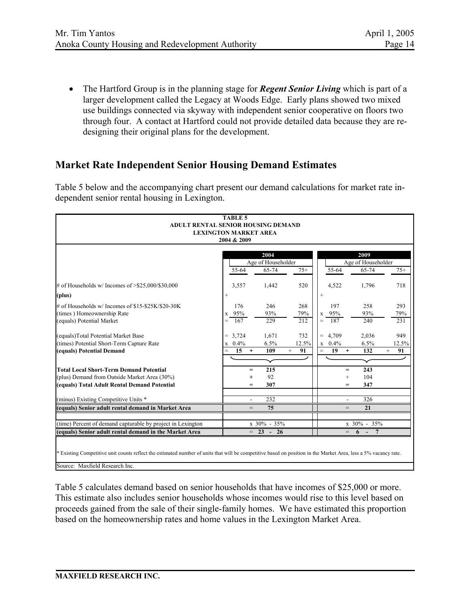• The Hartford Group is in the planning stage for *Regent Senior Living* which is part of a larger development called the Legacy at Woods Edge. Early plans showed two mixed use buildings connected via skyway with independent senior cooperative on floors two through four. A contact at Hartford could not provide detailed data because they are redesigning their original plans for the development.

## **Market Rate Independent Senior Housing Demand Estimates**

Table 5 below and the accompanying chart present our demand calculations for market rate independent senior rental housing in Lexington.

|                                                                                                                                                                 | <b>TABLE 5</b>         |                    |              |                                      |                           |              |  |
|-----------------------------------------------------------------------------------------------------------------------------------------------------------------|------------------------|--------------------|--------------|--------------------------------------|---------------------------|--------------|--|
| ADULT RENTAL SENIOR HOUSING DEMAND                                                                                                                              |                        |                    |              |                                      |                           |              |  |
| <b>LEXINGTON MARKET AREA</b>                                                                                                                                    |                        |                    |              |                                      |                           |              |  |
|                                                                                                                                                                 | 2004 & 2009            |                    |              |                                      |                           |              |  |
|                                                                                                                                                                 |                        | 2004               |              |                                      | 2009                      |              |  |
|                                                                                                                                                                 |                        | Age of Householder |              |                                      | Age of Householder        |              |  |
|                                                                                                                                                                 | 55-64                  | 65-74              | $75+$        | 55-64                                | 65-74                     | $75+$        |  |
| # of Households w/ Incomes of $> $25,000/$30,000$                                                                                                               | 3,557                  | 1,442              | 520          | 4,522                                | 1,796                     | 718          |  |
| (plus)                                                                                                                                                          | $\! + \!\!\!\!$        |                    |              | $^{+}$                               |                           |              |  |
| # of Households w/ Incomes of \$15-\$25K/\$20-30K                                                                                                               | 176                    | 246                | 268          | 197                                  | 258                       | 293          |  |
| (times) Homeownership Rate                                                                                                                                      | x 95%                  | 93%                | 79%          | 95%<br>$\mathbf X$                   | 93%                       | 79%          |  |
| (equals) Potential Market                                                                                                                                       | $=$<br>167             | 229                | 212          | 187<br>$=$                           | 240                       | 231          |  |
| (equals)Total Potential Market Base                                                                                                                             | $= 3,724$              | 1,671              | 732          | 4,709<br>$\qquad \qquad =$           | 2,036                     | 949          |  |
| (times) Potential Short-Term Capture Rate                                                                                                                       | $x \quad 0.4\%$        | 6.5%               | 12.5%        | 0.4%<br>$\mathbf X$                  | 6.5%                      | 12.5%        |  |
| (equals) Potential Demand                                                                                                                                       | 15<br>$=$<br>$\ddot{}$ | 109                | $^{+}$<br>91 | 19<br>$\qquad \qquad =$<br>$\ddot{}$ | 132                       | 91<br>$^{+}$ |  |
|                                                                                                                                                                 |                        |                    |              |                                      |                           |              |  |
| <b>Total Local Short-Term Demand Potential</b>                                                                                                                  | $=$                    | 215                |              | $=$                                  | 243                       |              |  |
| (plus) Demand from Outside Market Area (30%)                                                                                                                    | $+$                    | 92                 |              | $^{+}$                               | 104                       |              |  |
| (equals) Total Adult Rental Demand Potential                                                                                                                    | $\qquad \qquad =$      | 307                |              | $=$                                  | 347                       |              |  |
| (minus) Existing Competitive Units *                                                                                                                            |                        | 232                |              |                                      | 326                       |              |  |
| (equals) Senior adult rental demand in Market Area                                                                                                              | $=$                    | 75                 |              |                                      | 21                        |              |  |
| (time) Percent of demand capturable by project in Lexington                                                                                                     |                        | x 30% - 35%        |              |                                      | x 30% - 35%               |              |  |
| (equals) Senior adult rental demand in the Market Area                                                                                                          |                        | $= 23 - 26$        |              |                                      | $= 6 -$<br>$\overline{7}$ |              |  |
|                                                                                                                                                                 |                        |                    |              |                                      |                           |              |  |
|                                                                                                                                                                 |                        |                    |              |                                      |                           |              |  |
| * Existing Competitive unit counts reflect the estimated number of units that will be competitive based on position in the Market Area, less a 5% vacancy rate. |                        |                    |              |                                      |                           |              |  |
| Source: Maxfield Research Inc.                                                                                                                                  |                        |                    |              |                                      |                           |              |  |

Table 5 calculates demand based on senior households that have incomes of \$25,000 or more. This estimate also includes senior households whose incomes would rise to this level based on proceeds gained from the sale of their single-family homes. We have estimated this proportion based on the homeownership rates and home values in the Lexington Market Area.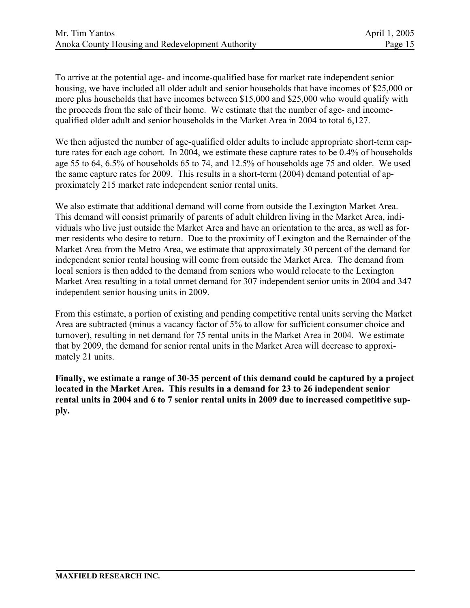To arrive at the potential age- and income-qualified base for market rate independent senior housing, we have included all older adult and senior households that have incomes of \$25,000 or more plus households that have incomes between \$15,000 and \$25,000 who would qualify with the proceeds from the sale of their home. We estimate that the number of age- and incomequalified older adult and senior households in the Market Area in 2004 to total 6,127.

We then adjusted the number of age-qualified older adults to include appropriate short-term capture rates for each age cohort. In 2004, we estimate these capture rates to be 0.4% of households age 55 to 64, 6.5% of households 65 to 74, and 12.5% of households age 75 and older. We used the same capture rates for 2009. This results in a short-term (2004) demand potential of approximately 215 market rate independent senior rental units.

We also estimate that additional demand will come from outside the Lexington Market Area. This demand will consist primarily of parents of adult children living in the Market Area, individuals who live just outside the Market Area and have an orientation to the area, as well as former residents who desire to return. Due to the proximity of Lexington and the Remainder of the Market Area from the Metro Area, we estimate that approximately 30 percent of the demand for independent senior rental housing will come from outside the Market Area. The demand from local seniors is then added to the demand from seniors who would relocate to the Lexington Market Area resulting in a total unmet demand for 307 independent senior units in 2004 and 347 independent senior housing units in 2009.

From this estimate, a portion of existing and pending competitive rental units serving the Market Area are subtracted (minus a vacancy factor of 5% to allow for sufficient consumer choice and turnover), resulting in net demand for 75 rental units in the Market Area in 2004. We estimate that by 2009, the demand for senior rental units in the Market Area will decrease to approximately 21 units.

**Finally, we estimate a range of 30-35 percent of this demand could be captured by a project located in the Market Area. This results in a demand for 23 to 26 independent senior rental units in 2004 and 6 to 7 senior rental units in 2009 due to increased competitive supply.**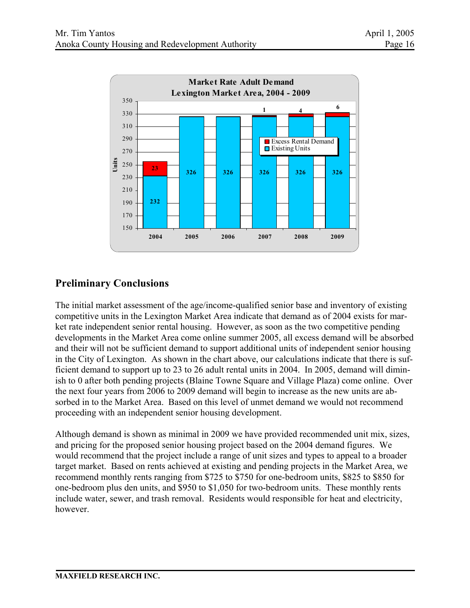

# **Preliminary Conclusions**

The initial market assessment of the age/income-qualified senior base and inventory of existing competitive units in the Lexington Market Area indicate that demand as of 2004 exists for market rate independent senior rental housing. However, as soon as the two competitive pending developments in the Market Area come online summer 2005, all excess demand will be absorbed and their will not be sufficient demand to support additional units of independent senior housing in the City of Lexington. As shown in the chart above, our calculations indicate that there is sufficient demand to support up to 23 to 26 adult rental units in 2004. In 2005, demand will diminish to 0 after both pending projects (Blaine Towne Square and Village Plaza) come online. Over the next four years from 2006 to 2009 demand will begin to increase as the new units are absorbed in to the Market Area. Based on this level of unmet demand we would not recommend proceeding with an independent senior housing development.

Although demand is shown as minimal in 2009 we have provided recommended unit mix, sizes, and pricing for the proposed senior housing project based on the 2004 demand figures. We would recommend that the project include a range of unit sizes and types to appeal to a broader target market. Based on rents achieved at existing and pending projects in the Market Area, we recommend monthly rents ranging from \$725 to \$750 for one-bedroom units, \$825 to \$850 for one-bedroom plus den units, and \$950 to \$1,050 for two-bedroom units. These monthly rents include water, sewer, and trash removal. Residents would responsible for heat and electricity, however.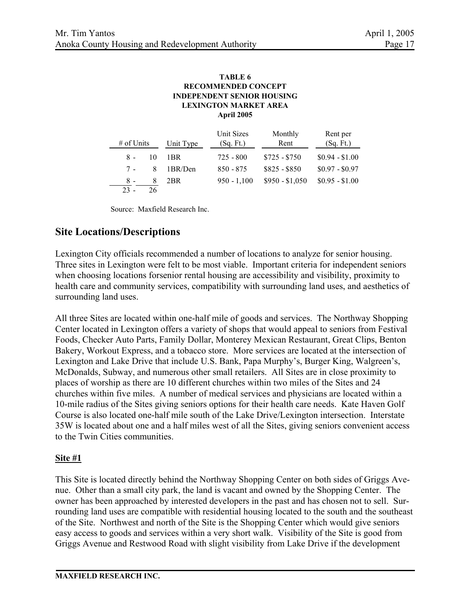#### **TABLE 6 LEXINGTON MARKET AREA INDEPENDENT SENIOR HOUSING RECOMMENDED CONCEPT April 2005**

|              |    |           | Unit Sizes    | Monthly         | Rent per        |  |
|--------------|----|-----------|---------------|-----------------|-----------------|--|
| $#$ of Units |    | Unit Type | (Sq. Ft.)     | Rent            | (Sq. Ft.)       |  |
| $8 -$        | 10 | 1BR.      | $725 - 800$   | $$725 - $750$   | $$0.94 - $1.00$ |  |
| $7 -$        | 8  | 1BR/Den   | $850 - 875$   | $$825 - $850$   | $$0.97 - $0.97$ |  |
| $8 -$        | 8  | 2BR       | $950 - 1,100$ | $$950 - $1,050$ | $$0.95 - $1.00$ |  |
| $23 -$       | 26 |           |               |                 |                 |  |

Source: Maxfield Research Inc.

## **Site Locations/Descriptions**

Lexington City officials recommended a number of locations to analyze for senior housing. Three sites in Lexington were felt to be most viable. Important criteria for independent seniors when choosing locations forsenior rental housing are accessibility and visibility, proximity to health care and community services, compatibility with surrounding land uses, and aesthetics of surrounding land uses.

All three Sites are located within one-half mile of goods and services. The Northway Shopping Center located in Lexington offers a variety of shops that would appeal to seniors from Festival Foods, Checker Auto Parts, Family Dollar, Monterey Mexican Restaurant, Great Clips, Benton Bakery, Workout Express, and a tobacco store. More services are located at the intersection of Lexington and Lake Drive that include U.S. Bank, Papa Murphy's, Burger King, Walgreen's, McDonalds, Subway, and numerous other small retailers. All Sites are in close proximity to places of worship as there are 10 different churches within two miles of the Sites and 24 churches within five miles. A number of medical services and physicians are located within a 10-mile radius of the Sites giving seniors options for their health care needs. Kate Haven Golf Course is also located one-half mile south of the Lake Drive/Lexington intersection. Interstate 35W is located about one and a half miles west of all the Sites, giving seniors convenient access to the Twin Cities communities.

### **Site #1**

This Site is located directly behind the Northway Shopping Center on both sides of Griggs Avenue. Other than a small city park, the land is vacant and owned by the Shopping Center. The owner has been approached by interested developers in the past and has chosen not to sell. Surrounding land uses are compatible with residential housing located to the south and the southeast of the Site. Northwest and north of the Site is the Shopping Center which would give seniors easy access to goods and services within a very short walk. Visibility of the Site is good from Griggs Avenue and Restwood Road with slight visibility from Lake Drive if the development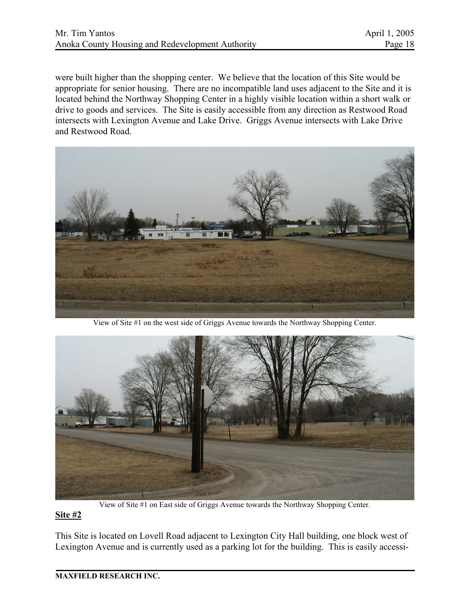were built higher than the shopping center. We believe that the location of this Site would be appropriate for senior housing. There are no incompatible land uses adjacent to the Site and it is located behind the Northway Shopping Center in a highly visible location within a short walk or drive to goods and services. The Site is easily accessible from any direction as Restwood Road intersects with Lexington Avenue and Lake Drive. Griggs Avenue intersects with Lake Drive and Restwood Road.



View of Site #1 on the west side of Griggs Avenue towards the Northway Shopping Center.



View of Site #1 on East side of Griggs Avenue towards the Northway Shopping Center.

### **Site #2**

This Site is located on Lovell Road adjacent to Lexington City Hall building, one block west of Lexington Avenue and is currently used as a parking lot for the building. This is easily accessi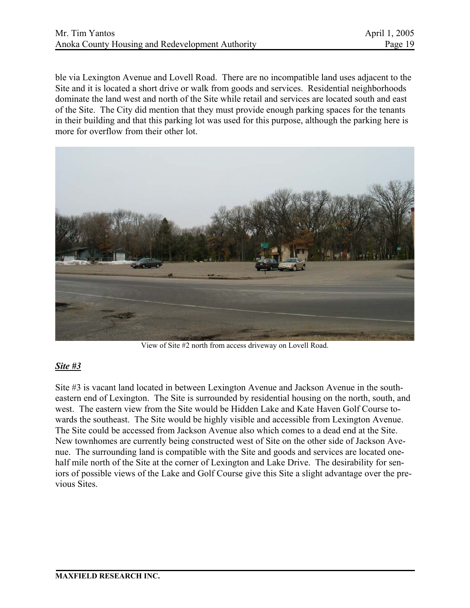ble via Lexington Avenue and Lovell Road. There are no incompatible land uses adjacent to the Site and it is located a short drive or walk from goods and services. Residential neighborhoods dominate the land west and north of the Site while retail and services are located south and east of the Site. The City did mention that they must provide enough parking spaces for the tenants in their building and that this parking lot was used for this purpose, although the parking here is more for overflow from their other lot.



View of Site #2 north from access driveway on Lovell Road.

### *Site #3*

Site #3 is vacant land located in between Lexington Avenue and Jackson Avenue in the southeastern end of Lexington. The Site is surrounded by residential housing on the north, south, and west. The eastern view from the Site would be Hidden Lake and Kate Haven Golf Course towards the southeast. The Site would be highly visible and accessible from Lexington Avenue. The Site could be accessed from Jackson Avenue also which comes to a dead end at the Site. New townhomes are currently being constructed west of Site on the other side of Jackson Avenue. The surrounding land is compatible with the Site and goods and services are located onehalf mile north of the Site at the corner of Lexington and Lake Drive. The desirability for seniors of possible views of the Lake and Golf Course give this Site a slight advantage over the previous Sites.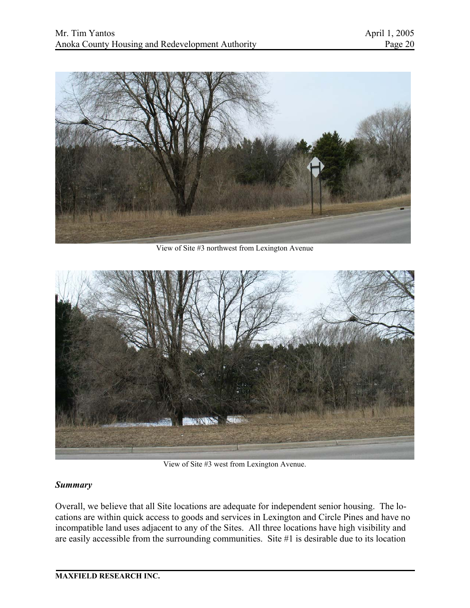

View of Site #3 northwest from Lexington Avenue



View of Site #3 west from Lexington Avenue.

### *Summary*

Overall, we believe that all Site locations are adequate for independent senior housing. The locations are within quick access to goods and services in Lexington and Circle Pines and have no incompatible land uses adjacent to any of the Sites. All three locations have high visibility and are easily accessible from the surrounding communities. Site #1 is desirable due to its location